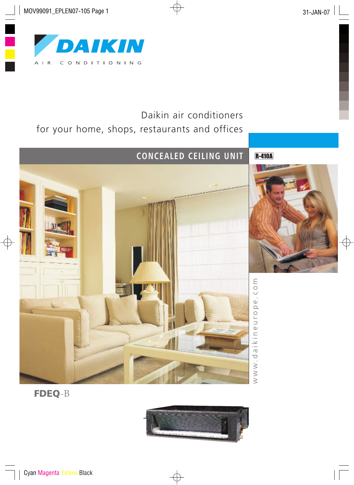

# Daikin air conditioners for your home, shops, restaurants and offices



**R-410A** 





FDEQ-B

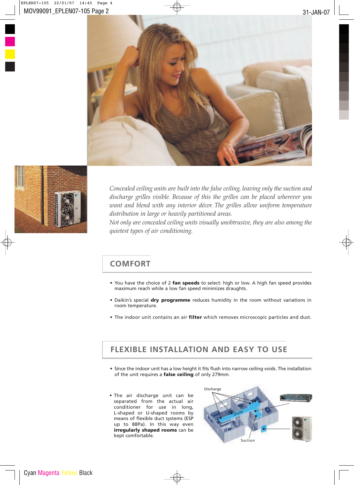



*Concealed ceiling units are built into the false ceiling, leaving only the suction and discharge grilles visible. Because of this the grilles can be placed wherever you want and blend with any interior décor. The grilles allow uniform temperature distribution in large or heavily partitioned areas.*

*Not only are concealed ceiling units visually unobtrusive, they are also among the quietest types of air conditioning.*

## **COMFORT**

- You have the choice of 2 fan speeds to select: high or low. A high fan speed provides maximum reach while a low fan speed minimizes draughts.
- Daikin's special dry programme reduces humidity in the room without variations in room temperature.
- The indoor unit contains an air filter which removes microscopic particles and dust.

## **FLEXIBLE INSTALLATION AND EASY TO USE**

- Since the indoor unit has a low height it fits flush into narrow ceiling voids. The installation of the unit requires a false ceiling of only 279mm.
- The air discharge unit can be separated from the actual air conditioner for use in long, L-shaped or U-shaped rooms by means of flexible duct systems (ESP up to 88Pa). In this way even irregularly shaped rooms can be kept comfortable.

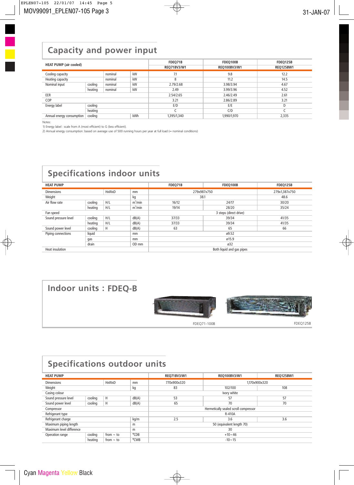## **Capacity and power input**

| <b>HEAT PUMP (air cooled)</b> |         |         |            | FDEQ71B<br>REQ71BV3/W1 | FDEQ100B<br>REQ100BV3/W1 | FDEQ125B<br><b>REQ125BW1</b> |
|-------------------------------|---------|---------|------------|------------------------|--------------------------|------------------------------|
| Cooling capacity              |         | nominal | kW         | 7.1                    | 9.8                      | 12.2                         |
| Heating capacity              |         | nominal | kW         | 8                      | 11.2                     | 14.5                         |
| Nominal input                 | cooling | nominal | kW         | 2.79/2.68              | 3.98/3.94                | 4.67                         |
|                               | heating | nominal | kW         | 2.49                   | 3.99/3.96                | 4.52                         |
| EER                           |         |         |            | 2.54/2.65              | 2.46/2.49                | 2.61                         |
| COP                           |         |         |            | 3.21                   | 2.86/2.89                | 3.21                         |
| Energy label                  | cooling |         |            | E/D                    | E/E                      | D                            |
|                               | heating |         |            |                        | C/D                      |                              |
| Annual energy consumption     | cooling |         | <b>kWh</b> | 1,395/1,340            | 1,990/1,970              | 2,335                        |

Notes:

1) Energy label : scale from A (most efficient) to G (less efficient).

2) Annual energy consumption: based on average use of 500 running hours per year at full load (= nominal conditions)

# **Specifications indoor units**

| <b>HEAT PUMP</b>                  |         |     |            | FDEO71B                   | <b>FDEO100B</b> | <b>FDEO125B</b> |  |
|-----------------------------------|---------|-----|------------|---------------------------|-----------------|-----------------|--|
| <b>HxWxD</b><br><b>Dimensions</b> |         |     | mm         | 279x987x750               |                 | 279x1,387x750   |  |
| Weight                            |         | kg  | 38.1       |                           | 48.6            |                 |  |
| Air flow rate                     | cooling | H/L | $m^3/m$ in | 16/12                     | 24/17           | 30/20           |  |
|                                   | heating | H/L | $m^3/m$ in | 19/14                     | 28/20           | 35/24           |  |
| Fan speed                         |         |     |            | 3 steps (direct drive)    |                 |                 |  |
| Sound pressure level              | cooling | H/L | dB(A)      | 37/33                     | 39/34           | 41/35           |  |
|                                   | heating | H/L | dB(A)      | 37/33                     | 39/34           | 41/35           |  |
| Sound power level                 | cooling | H   | dB(A)      | 63                        | 65              | 66              |  |
| Piping connections                | liquid  |     | mm         | 09.52                     |                 |                 |  |
|                                   | gas     |     | mm         | ø15.9                     |                 |                 |  |
|                                   | drain   |     | OD mm      | ø32                       |                 |                 |  |
| Heat insulation                   |         |     |            | Both liquid and gas pipes |                 |                 |  |

# **Indoor units : FDEQ-B**



FDEQ71-100B FDEQ125B

# **Specifications outdoor units**

| <b>HEAT PUMP</b>                        |                                               |                |                              | <b>REQ71BV3/W1</b>                    | <b>REQ100BV3/W1</b> | <b>REQ125BW1</b> |  |
|-----------------------------------------|-----------------------------------------------|----------------|------------------------------|---------------------------------------|---------------------|------------------|--|
| <b>HxWxD</b><br><b>Dimensions</b><br>mm |                                               |                | 770x900x320<br>1,170x900x320 |                                       |                     |                  |  |
| Weight<br>kg                            |                                               |                | 83                           | 102/100                               | 108                 |                  |  |
| Casing colour                           |                                               |                |                              | Ivory white                           |                     |                  |  |
| Sound pressure level                    | cooling                                       | H              | dB(A)                        | 53                                    | 57                  | 57               |  |
| Sound power level                       | cooling                                       | Η              | dB(A)                        | 65                                    | 70                  | 70               |  |
| Compressor                              |                                               |                |                              | Hermetically sealed scroll compressor |                     |                  |  |
| Refrigerant type                        |                                               |                |                              | R-410A                                |                     |                  |  |
| Refrigerant charge<br>kg/m              |                                               |                | 2.5                          | 3.6                                   | 3.6                 |                  |  |
| Maximum piping length<br>m              |                                               |                |                              | 50 (equivalent length 70)             |                     |                  |  |
| Maximum level difference<br>m           |                                               |                |                              | 30                                    |                     |                  |  |
| Operation range                         | °CDB<br>cooling<br>from $\sim$ to<br>$+10-46$ |                |                              |                                       |                     |                  |  |
|                                         | heating                                       | from $\sim$ to | °CWB                         |                                       | $-10 - 15$          |                  |  |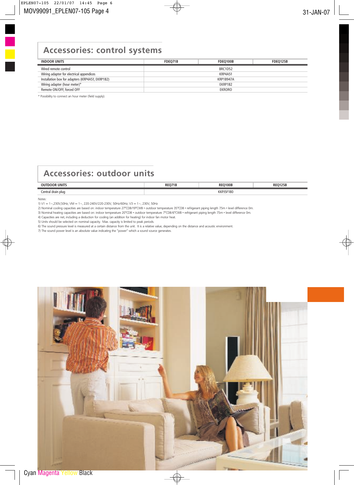## **Accessories: control systems**

| <b>INDOOR UNITS</b>                              | FDEO71B          | FDEO100B       | FDEO125B |  |
|--------------------------------------------------|------------------|----------------|----------|--|
| Wired remote control                             |                  | BRC1D52        |          |  |
| Wiring adapter for electrical appendices         |                  | <b>KRP4A51</b> |          |  |
| Installation box for adapters (KRP4A51, EKRP1B2) | <b>KRP1B947A</b> |                |          |  |
| Wiring adapter (hour meter)*                     |                  | EKRP1B2        |          |  |
| Remote ON/OFF, forced OFF                        |                  | EKRORO         |          |  |
|                                                  |                  |                |          |  |

\* Possibility to connect an hour meter (field supply).

## **Accessories: outdoor units**

| $- - - - - -$<br>ור<br>™UNII. | )OE               |  |
|-------------------------------|-------------------|--|
| entral<br>l drain plud        | T100<br>ıou<br>۸B |  |

#### Notes:

1) V1 = 1~,230V,50Hz; VM = 1~, 220-240V/220-230V, 50Hz/60Hz; V3 = 1~, 230V, 50Hz

2) Nominal cooling capacities are based on: indoor temperature 27°CDB/19°CWB • outdoor temperature 35°CDB • refrigerant piping length 7.5m • level difference 0m.

3) Nominal heating capacities are based on: indoor temperature 20°CDB • outdoor temperature 7°CDB/6°CWB • refrigerant piping length 7.5m • level difference 0m.

4) Capacities are net, including a deduction for cooling (an addition for heating) for indoor fan motor heat.

5) Units should be selected on nominal capacity. Max. capacity is limited to peak periods.

6) The sound pressure level is measured at a certain distance from the unit. It is a relative value, depending on the distance and acoustic environment.

7) The sound power level is an absolute value indicating the "power" which a sound source generates.

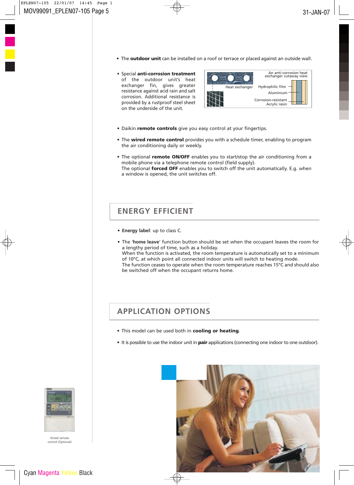- The **outdoor unit** can be installed on a roof or terrace or placed against an outside wall.
- Special anti-corrosion treatment of the outdoor unit's heat exchanger fin, gives greater resistance against acid rain and salt corrosion. Additional resistance is provided by a rustproof steel sheet on the underside of the unit.



- Daikin remote controls give you easy control at your fingertips.
- The wired remote control provides you with a schedule timer, enabling to program the air conditioning daily or weekly.
- The optional remote ON/OFF enables you to start/stop the air conditioning from a mobile phone via a telephone remote control (field supply). The optional **forced OFF** enables you to switch off the unit automatically. E.g. when a window is opened, the unit switches off.

### **ENERGY EFFICIENT**

- **Energy label**: up to class C.
- The ' **home leave**' function button should be set when the occupant leaves the room for a lengthy period of time, such as a holiday. When the function is activated, the room temperature is automatically set to a minimum of 10°C, at which point all connected indoor units will switch to heating mode. The function ceases to operate when the room temperature reaches 15°C and should also be switched off when the occupant returns home.

## **APPLICATION OPTIONS**

- This model can be used both in cooling or heating.
- It is possible to use the indoor unit in **pair** applications (connecting one indoor to one outdoor).





Wired remote control (Optional)